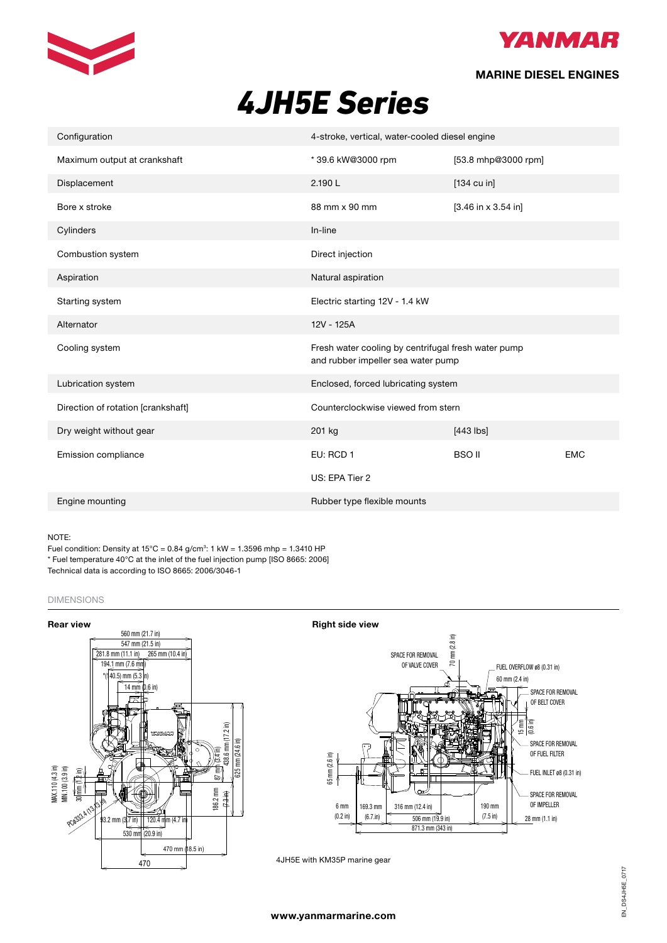



## **MARINE DIESEL ENGINES**

# **4JH5E** Series *4JH5E Series*

|  | Configuration                      | 4-stroke, vertical, water-cooled diesel engine                                            |                       |            |  |  |  |
|--|------------------------------------|-------------------------------------------------------------------------------------------|-----------------------|------------|--|--|--|
|  | Maximum output at crankshaft       | *39.6 kW@3000 rpm                                                                         | [53.8 mhp@3000 rpm]   |            |  |  |  |
|  | Displacement                       | 2.190L                                                                                    | $[134 \text{ cu in}]$ |            |  |  |  |
|  | Bore x stroke                      | 88 mm x 90 mm                                                                             | $[3.46$ in x 3.54 in] |            |  |  |  |
|  | Cylinders                          | In-line                                                                                   |                       |            |  |  |  |
|  | Combustion system                  | Direct injection                                                                          |                       |            |  |  |  |
|  | Aspiration                         | Natural aspiration                                                                        |                       |            |  |  |  |
|  | Starting system                    | Electric starting 12V - 1.4 kW                                                            |                       |            |  |  |  |
|  | Alternator                         | 12V - 125A                                                                                |                       |            |  |  |  |
|  | Cooling system                     | Fresh water cooling by centrifugal fresh water pump<br>and rubber impeller sea water pump |                       |            |  |  |  |
|  | Lubrication system                 | Enclosed, forced lubricating system                                                       |                       |            |  |  |  |
|  | Direction of rotation [crankshaft] | Counterclockwise viewed from stern                                                        |                       |            |  |  |  |
|  | Dry weight without gear            | 201 kg                                                                                    | $[443$ lbs]           |            |  |  |  |
|  | Emission compliance                | EU: RCD 1                                                                                 | <b>BSO II</b>         | <b>EMC</b> |  |  |  |
|  |                                    | US: EPA Tier 2                                                                            |                       |            |  |  |  |
|  | Engine mounting                    | Rubber type flexible mounts                                                               |                       |            |  |  |  |

#### NOTE:  $F$  and  $F$  at the independent of the independent of the fuel injection pump ( $F$

Fuel condition: Density at 15°C = 0.84 g/cm $3:1$  kW = 1.3596 mhp = 1.3410 HP \* Fuel temperature 40°C at the inlet of the fuel injection pump [ISO 8665: 2006] Technical data is according to ISO 8665: 2006/3046-1

### DIMENSIONS





4JH5E with KM35P marine gear